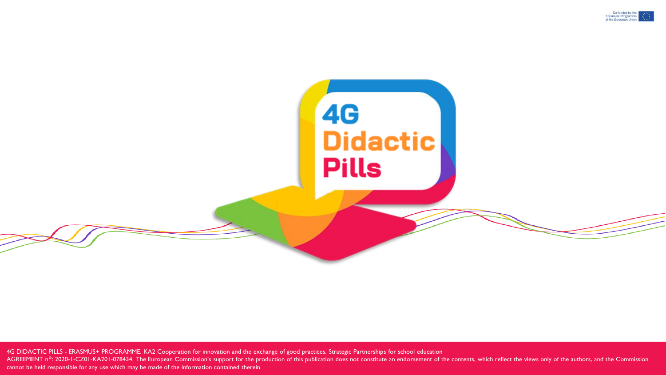



4G DIDACTIC PILLS - ERASMUS+ PROGRAMME. KA2 Cooperation for innovation and the exchange of good practices. Strategic Partnerships for school education

AGREEMENT nº: 2020-1-CZ01-KA201-078434. The European Commission's support for the production of this publication does not constitute an endorsement of the contents, which reflect the views only of the authors, and the Comm cannot be held responsible for any use which may be made of the information contained therein.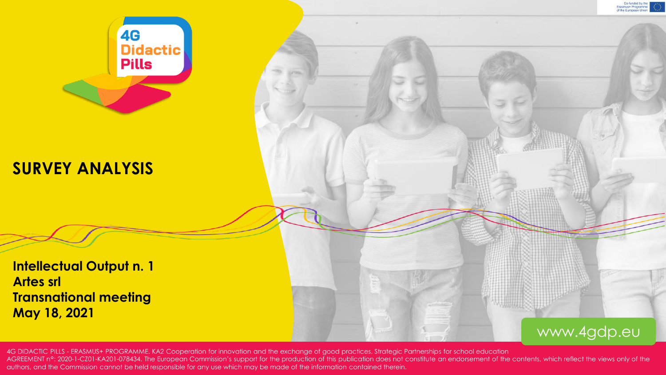

# **SURVEY ANALYSIS**

**Intellectual Output n. 1 Artes srl Transnational meeting May 18, 2021** 

4G DIDACTIC PILLS - ERASMUS+ PROGRAMME. KA2 Cooperation for innovation and the exchange of good practices. Strategic Partnerships for school education AGREEMENT n°: 2020-1-CZ01-KA201-078434. The European Commission's support for the production of this publication does not constitute an endorsement of the contents, which reflect the views only of the authors, and the Commission cannot be held responsible for any use which may be made of the information contained therein.



## www.4gdp.eu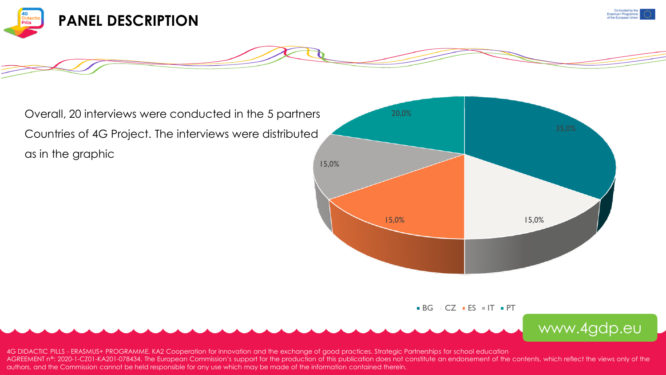

AGREEMENT n°: 2020-1-CZ01-KA201-078434. The European Commission's support for the production of this publication does not constitute an endorsement of the contents, which reflect the views only of the authors, and the Commission cannot be held responsible for any use which may be made of the information contained therein.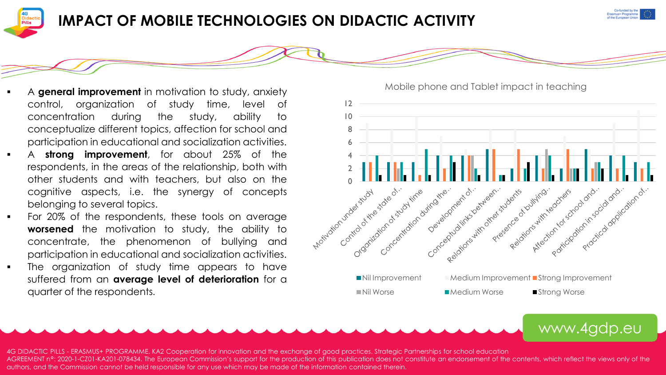

# **IMPACT OF MOBILE TECHNOLOGIES ON DIDACTIC ACTIVITY**

- A **general improvement** in motivation to study, anxiety control, organization of study time, level of concentration during the study, ability to conceptualize different topics, affection for school and participation in educational and socialization activities.
- A **strong improvement**, for about 25% of the respondents, in the areas of the relationship, both with other students and with teachers, but also on the cognitive aspects, i.e. the synergy of concepts belonging to several topics.
- For 20% of the respondents, these tools on average **worsened** the motivation to study, the ability to concentrate, the phenomenon of bullying and participation in educational and socialization activities.
- The organization of study time appears to have suffered from an **average level of deterioration** for a quarter of the respondents.

Mobile phone and Tablet impact in teaching



www.4gdp.eu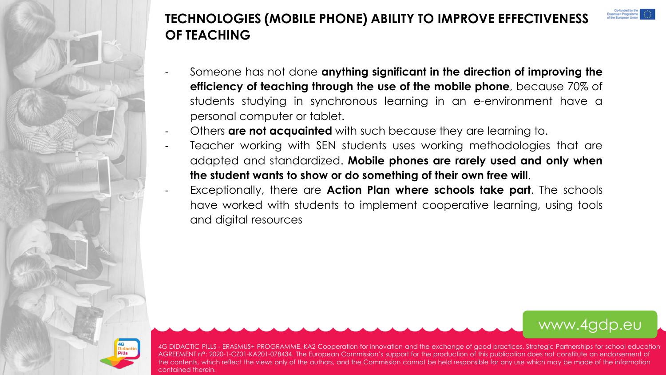

#### **TECHNOLOGIES (MOBILE PHONE) ABILITY TO IMPROVE EFFECTIVENESS OF TEACHING**

- Someone has not done **anything significant in the direction of improving the efficiency of teaching through the use of the mobile phone**, because 70% of students studying in synchronous learning in an e-environment have a personal computer or tablet.
- Others **are not acquainted** with such because they are learning to.
- Teacher working with SEN students uses working methodologies that are adapted and standardized. **Mobile phones are rarely used and only when the student wants to show or do something of their own free will**.
- Exceptionally, there are **Action Plan where schools take part**. The schools have worked with students to implement cooperative learning, using tools and digital resources



www.4gdp.eu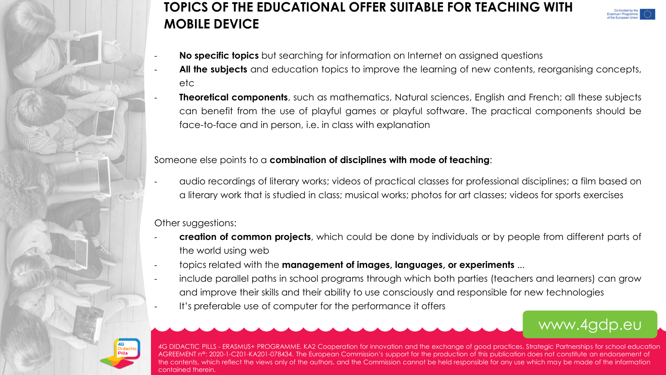

#### **TOPICS OF THE EDUCATIONAL OFFER SUITABLE FOR TEACHING WITH MOBILE DEVICE**



- **No specific topics** but searching for information on Internet on assigned questions
- **All the subjects** and education topics to improve the learning of new contents, reorganising concepts, etc
- **Theoretical components**, such as mathematics, Natural sciences, English and French; all these subjects can benefit from the use of playful games or playful software. The practical components should be face-to-face and in person, i.e. in class with explanation

Someone else points to a **combination of disciplines with mode of teaching**:

- audio recordings of literary works; videos of practical classes for professional disciplines; a film based on a literary work that is studied in class; musical works; photos for art classes; videos for sports exercises

#### Other suggestions:

- **creation of common projects**, which could be done by individuals or by people from different parts of the world using web
- topics related with the **management of images, languages, or experiments** ...
- include parallel paths in school programs through which both parties (teachers and learners) can grow and improve their skills and their ability to use consciously and responsible for new technologies
- It's preferable use of computer for the performance it offers

## www.4gdp.eu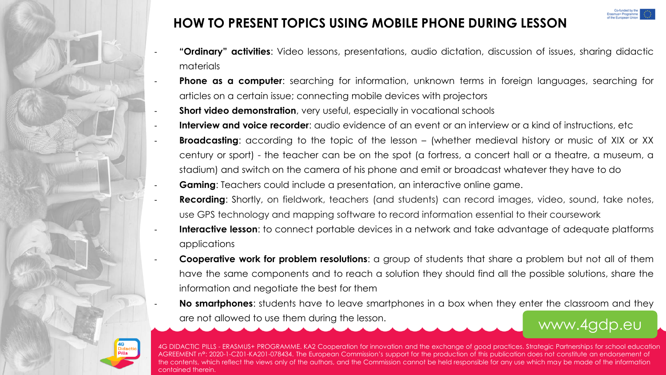

### **HOW TO PRESENT TOPICS USING MOBILE PHONE DURING LESSON**

- **"Ordinary" activities**: Video lessons, presentations, audio dictation, discussion of issues, sharing didactic materials
- **Phone as a computer:** searching for information, unknown terms in foreign languages, searching for articles on a certain issue; connecting mobile devices with projectors
- **Short video demonstration**, very useful, especially in vocational schools
- **Interview and voice recorder**: audio evidence of an event or an interview or a kind of instructions, etc
- **Broadcasting**: according to the topic of the lesson (whether medieval history or music of XIX or XX century or sport) - the teacher can be on the spot (a fortress, a concert hall or a theatre, a museum, a stadium) and switch on the camera of his phone and emit or broadcast whatever they have to do
- **Gaming**: Teachers could include a presentation, an interactive online game.
- **Recording**: Shortly, on fieldwork, teachers (and students) can record images, video, sound, take notes, use GPS technology and mapping software to record information essential to their coursework
- **Interactive lesson**: to connect portable devices in a network and take advantage of adequate platforms applications
- **Cooperative work for problem resolutions**: a group of students that share a problem but not all of them have the same components and to reach a solution they should find all the possible solutions, share the information and negotiate the best for them
- www.4gdp.eu - **No smartphones**: students have to leave smartphones in a box when they enter the classroom and they are not allowed to use them during the lesson.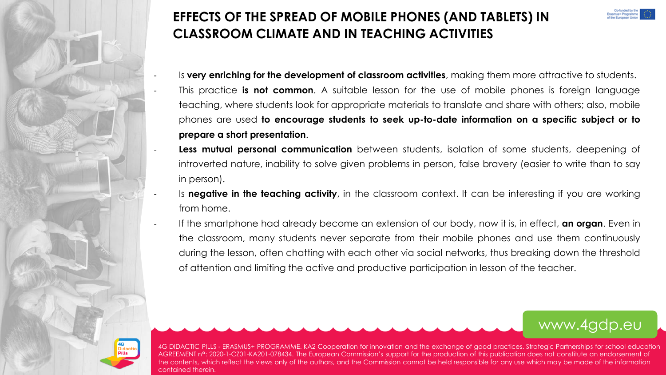

#### **EFFECTS OF THE SPREAD OF MOBILE PHONES (AND TABLETS) IN CLASSROOM CLIMATE AND IN TEACHING ACTIVITIES**

- Is **very enriching for the development of classroom activities**, making them more attractive to students. - This practice **is not common**. A suitable lesson for the use of mobile phones is foreign language teaching, where students look for appropriate materials to translate and share with others; also, mobile phones are used **to encourage students to seek up-to-date information on a specific subject or to prepare a short presentation**.
- **Less mutual personal communication** between students, isolation of some students, deepening of introverted nature, inability to solve given problems in person, false bravery (easier to write than to say in person).
- Is **negative in the teaching activity**, in the classroom context. It can be interesting if you are working from home.
- If the smartphone had already become an extension of our body, now it is, in effect, **an organ**. Even in the classroom, many students never separate from their mobile phones and use them continuously during the lesson, often chatting with each other via social networks, thus breaking down the threshold of attention and limiting the active and productive participation in lesson of the teacher.

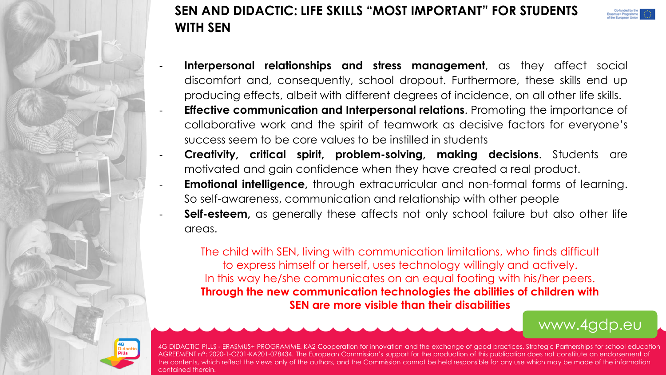

#### **SEN AND DIDACTIC: LIFE SKILLS "MOST IMPORTANT" FOR STUDENTS WITH SEN**

- **Interpersonal relationships and stress management**, as they affect social discomfort and, consequently, school dropout. Furthermore, these skills end up producing effects, albeit with different degrees of incidence, on all other life skills.
- **Effective communication and Interpersonal relations**. Promoting the importance of collaborative work and the spirit of teamwork as decisive factors for everyone's success seem to be core values to be instilled in students
- **Creativity, critical spirit, problem-solving, making decisions**. Students are motivated and gain confidence when they have created a real product.
- **Emotional intelligence**, through extracurricular and non-formal forms of learning. So self-awareness, communication and relationship with other people
- **Self-esteem**, as generally these affects not only school failure but also other life areas.

The child with SEN, living with communication limitations, who finds difficult to express himself or herself, uses technology willingly and actively. In this way he/she communicates on an equal footing with his/her peers. **Through the new communication technologies the abilities of children with SEN are more visible than their disabilities**

#### www.4gdp.eu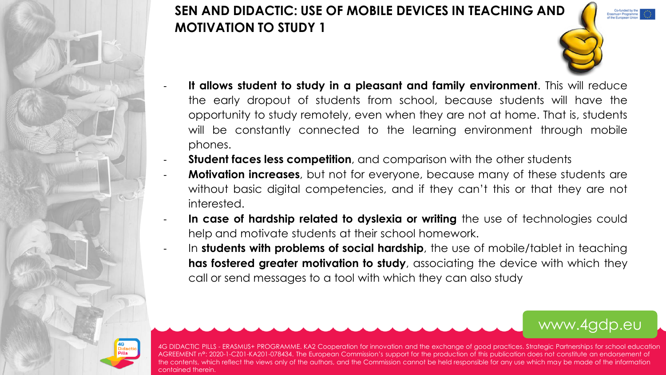

### **SEN AND DIDACTIC: USE OF MOBILE DEVICES IN TEACHING AND MOTIVATION TO STUDY 1**

- 
- **It allows student to study in a pleasant and family environment**. This will reduce the early dropout of students from school, because students will have the opportunity to study remotely, even when they are not at home. That is, students will be constantly connected to the learning environment through mobile phones.
- **Student faces less competition**, and comparison with the other students
- **Motivation increases**, but not for everyone, because many of these students are without basic digital competencies, and if they can't this or that they are not interested.
- **In case of hardship related to dyslexia or writing** the use of technologies could help and motivate students at their school homework.
- In **students with problems of social hardship**, the use of mobile/tablet in teaching **has fostered greater motivation to study**, associating the device with which they call or send messages to a tool with which they can also study

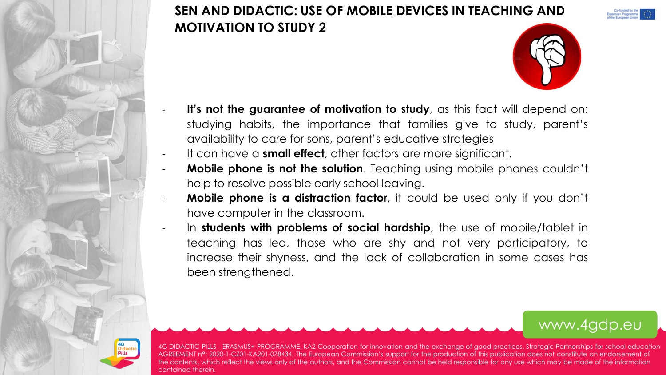

#### **SEN AND DIDACTIC: USE OF MOBILE DEVICES IN TEACHING AND MOTIVATION TO STUDY 2**





- **It's not the guarantee of motivation to study**, as this fact will depend on: studying habits, the importance that families give to study, parent's availability to care for sons, parent's educative strategies
- It can have a **small effect**, other factors are more significant.
- **Mobile phone is not the solution**. Teaching using mobile phones couldn't help to resolve possible early school leaving.
- **Mobile phone is a distraction factor**, it could be used only if you don't have computer in the classroom.
- In **students with problems of social hardship**, the use of mobile/tablet in teaching has led, those who are shy and not very participatory, to increase their shyness, and the lack of collaboration in some cases has been strengthened.

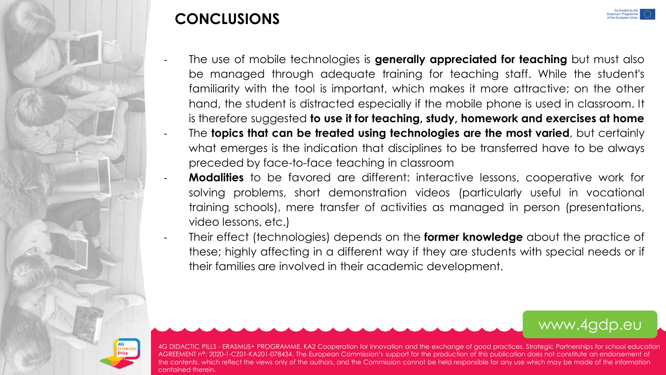

# **CONCLUSIONS**

- The use of mobile technologies is **generally appreciated for teaching** but must also be managed through adequate training for teaching staff. While the student's familiarity with the tool is important, which makes it more attractive; on the other hand, the student is distracted especially if the mobile phone is used in classroom. It is therefore suggested **to use it for teaching, study, homework and exercises at home**
- The **topics that can be treated using technologies are the most varied**, but certainly what emerges is the indication that disciplines to be transferred have to be always preceded by face-to-face teaching in classroom
- **Modalities** to be favored are different: interactive lessons, cooperative work for solving problems, short demonstration videos (particularly useful in vocational training schools), mere transfer of activities as managed in person (presentations, video lessons, etc.)
- Their effect (technologies) depends on the **former knowledge** about the practice of these; highly affecting in a different way if they are students with special needs or if their families are involved in their academic development.